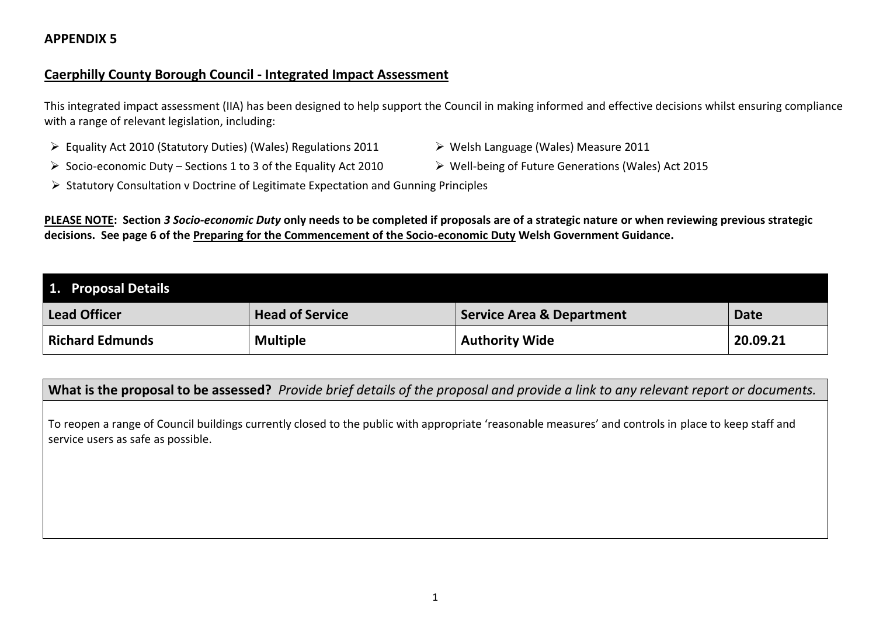### **Caerphilly County Borough Council - Integrated Impact Assessment**

This integrated impact assessment (IIA) has been designed to help support the Council in making informed and effective decisions whilst ensuring compliance with a range of relevant legislation, including:

- Equality Act 2010 (Statutory Duties) (Wales) Regulations 2011 > Welsh Language (Wales) Measure 2011
- Socio-economic Duty Sections 1 to 3 of the Equality Act 2010 > Well-being of Future Generations (Wales) Act 2015
- 
- 
- $\triangleright$  Statutory Consultation v Doctrine of Legitimate Expectation and Gunning Principles

**PLEASE NOTE: Section** *3 Socio-economic Duty* **only needs to be completed if proposals are of a strategic nature or when reviewing previous strategic decisions. See page 6 of the [Preparing for the Commencement of the Socio-economic Duty](https://gov.wales/sites/default/files/publications/2020-07/preparing-for-the-commencement-of-the-socio-economic-duty.pdf) Welsh Government Guidance.**

| 1. Proposal Details    |                        |                                      |             |
|------------------------|------------------------|--------------------------------------|-------------|
| <b>Lead Officer</b>    | <b>Head of Service</b> | <b>Service Area &amp; Department</b> | <b>Date</b> |
| <b>Richard Edmunds</b> | <b>Multiple</b>        | <b>Authority Wide</b>                | 20.09.21    |

**What is the proposal to be assessed?** *Provide brief details of the proposal and provide a link to any relevant report or documents.*

To reopen a range of Council buildings currently closed to the public with appropriate 'reasonable measures' and controls in place to keep staff and service users as safe as possible.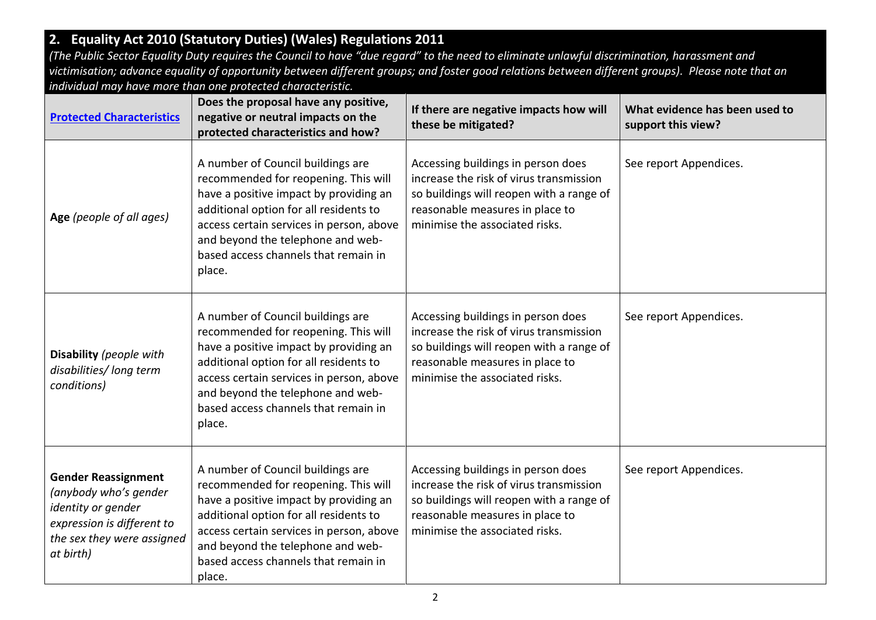# **2. Equality Act 2010 (Statutory Duties) (Wales) Regulations 2011**

*(The Public Sector Equality Duty requires the Council to have "due regard" to the need to eliminate unlawful discrimination, harassment and victimisation; advance equality of opportunity between different groups; and foster good relations between different groups). Please note that an individual may have more than one protected characteristic.*

| <b>Protected Characteristics</b>                                                                                                                   | Does the proposal have any positive,<br>negative or neutral impacts on the<br>protected characteristics and how?                                                                                                                                                                                 | If there are negative impacts how will<br>these be mitigated?                                                                                                                                  | What evidence has been used to<br>support this view? |
|----------------------------------------------------------------------------------------------------------------------------------------------------|--------------------------------------------------------------------------------------------------------------------------------------------------------------------------------------------------------------------------------------------------------------------------------------------------|------------------------------------------------------------------------------------------------------------------------------------------------------------------------------------------------|------------------------------------------------------|
| Age (people of all ages)                                                                                                                           | A number of Council buildings are<br>recommended for reopening. This will<br>have a positive impact by providing an<br>additional option for all residents to<br>access certain services in person, above<br>and beyond the telephone and web-<br>based access channels that remain in<br>place. | Accessing buildings in person does<br>increase the risk of virus transmission<br>so buildings will reopen with a range of<br>reasonable measures in place to<br>minimise the associated risks. | See report Appendices.                               |
| Disability (people with<br>disabilities/long term<br>conditions)                                                                                   | A number of Council buildings are<br>recommended for reopening. This will<br>have a positive impact by providing an<br>additional option for all residents to<br>access certain services in person, above<br>and beyond the telephone and web-<br>based access channels that remain in<br>place. | Accessing buildings in person does<br>increase the risk of virus transmission<br>so buildings will reopen with a range of<br>reasonable measures in place to<br>minimise the associated risks. | See report Appendices.                               |
| <b>Gender Reassignment</b><br>(anybody who's gender<br>identity or gender<br>expression is different to<br>the sex they were assigned<br>at birth) | A number of Council buildings are<br>recommended for reopening. This will<br>have a positive impact by providing an<br>additional option for all residents to<br>access certain services in person, above<br>and beyond the telephone and web-<br>based access channels that remain in<br>place. | Accessing buildings in person does<br>increase the risk of virus transmission<br>so buildings will reopen with a range of<br>reasonable measures in place to<br>minimise the associated risks. | See report Appendices.                               |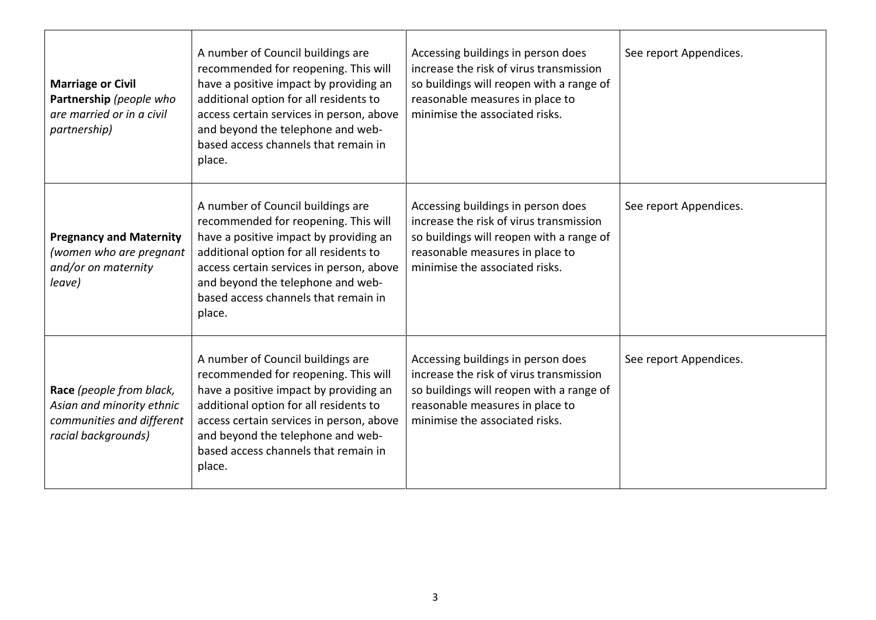| <b>Marriage or Civil</b><br>Partnership (people who<br>are married or in a civil<br>partnership)          | A number of Council buildings are<br>recommended for reopening. This will<br>have a positive impact by providing an<br>additional option for all residents to<br>access certain services in person, above<br>and beyond the telephone and web-<br>based access channels that remain in<br>place. | Accessing buildings in person does<br>increase the risk of virus transmission<br>so buildings will reopen with a range of<br>reasonable measures in place to<br>minimise the associated risks. | See report Appendices. |
|-----------------------------------------------------------------------------------------------------------|--------------------------------------------------------------------------------------------------------------------------------------------------------------------------------------------------------------------------------------------------------------------------------------------------|------------------------------------------------------------------------------------------------------------------------------------------------------------------------------------------------|------------------------|
| <b>Pregnancy and Maternity</b><br>(women who are pregnant<br>and/or on maternity<br>leave)                | A number of Council buildings are<br>recommended for reopening. This will<br>have a positive impact by providing an<br>additional option for all residents to<br>access certain services in person, above<br>and beyond the telephone and web-<br>based access channels that remain in<br>place. | Accessing buildings in person does<br>increase the risk of virus transmission<br>so buildings will reopen with a range of<br>reasonable measures in place to<br>minimise the associated risks. | See report Appendices. |
| Race (people from black,<br>Asian and minority ethnic<br>communities and different<br>racial backgrounds) | A number of Council buildings are<br>recommended for reopening. This will<br>have a positive impact by providing an<br>additional option for all residents to<br>access certain services in person, above<br>and beyond the telephone and web-<br>based access channels that remain in<br>place. | Accessing buildings in person does<br>increase the risk of virus transmission<br>so buildings will reopen with a range of<br>reasonable measures in place to<br>minimise the associated risks. | See report Appendices. |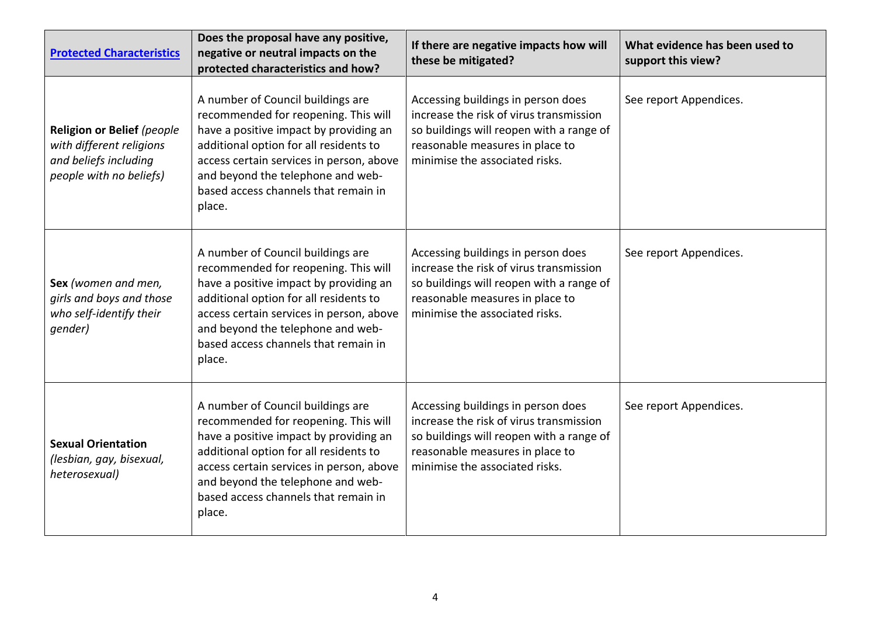| <b>Protected Characteristics</b>                                                                           | Does the proposal have any positive,<br>negative or neutral impacts on the<br>protected characteristics and how?                                                                                                                                                                                 | If there are negative impacts how will<br>these be mitigated?                                                                                                                                  | What evidence has been used to<br>support this view? |
|------------------------------------------------------------------------------------------------------------|--------------------------------------------------------------------------------------------------------------------------------------------------------------------------------------------------------------------------------------------------------------------------------------------------|------------------------------------------------------------------------------------------------------------------------------------------------------------------------------------------------|------------------------------------------------------|
| Religion or Belief (people<br>with different religions<br>and beliefs including<br>people with no beliefs) | A number of Council buildings are<br>recommended for reopening. This will<br>have a positive impact by providing an<br>additional option for all residents to<br>access certain services in person, above<br>and beyond the telephone and web-<br>based access channels that remain in<br>place. | Accessing buildings in person does<br>increase the risk of virus transmission<br>so buildings will reopen with a range of<br>reasonable measures in place to<br>minimise the associated risks. | See report Appendices.                               |
| Sex (women and men,<br>girls and boys and those<br>who self-identify their<br>gender)                      | A number of Council buildings are<br>recommended for reopening. This will<br>have a positive impact by providing an<br>additional option for all residents to<br>access certain services in person, above<br>and beyond the telephone and web-<br>based access channels that remain in<br>place. | Accessing buildings in person does<br>increase the risk of virus transmission<br>so buildings will reopen with a range of<br>reasonable measures in place to<br>minimise the associated risks. | See report Appendices.                               |
| <b>Sexual Orientation</b><br>(lesbian, gay, bisexual,<br>heterosexual)                                     | A number of Council buildings are<br>recommended for reopening. This will<br>have a positive impact by providing an<br>additional option for all residents to<br>access certain services in person, above<br>and beyond the telephone and web-<br>based access channels that remain in<br>place. | Accessing buildings in person does<br>increase the risk of virus transmission<br>so buildings will reopen with a range of<br>reasonable measures in place to<br>minimise the associated risks. | See report Appendices.                               |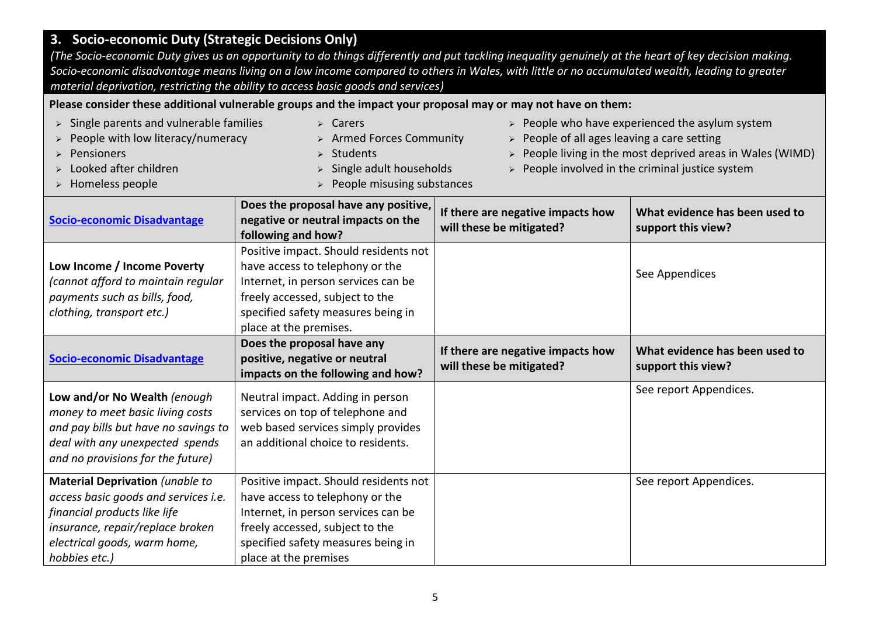# **3. Socio-economic Duty (Strategic Decisions Only)**

*(The Socio-economic Duty gives us an opportunity to do things differently and put tackling inequality genuinely at the heart of key decision making. Socio-economic disadvantage means living on a low income compared to others in Wales, with little or no accumulated wealth, leading to greater material deprivation, restricting the ability to access basic goods and services)*

**Please consider these additional vulnerable groups and the impact your proposal may or may not have on them:**

| $\triangleright$ Single parents and vulnerable families<br>People with low literacy/numeracy<br>Pensioners<br>Looked after children<br>> Homeless people                         | $\triangleright$ Carers<br>> Armed Forces Community<br><b>Students</b><br>Single adult households<br>People misusing substances                                                                                    | People of all ages leaving a care setting<br>$\blacktriangleright$ | $\triangleright$ People who have experienced the asylum system<br>People living in the most deprived areas in Wales (WIMD)<br>$\triangleright$ People involved in the criminal justice system |
|----------------------------------------------------------------------------------------------------------------------------------------------------------------------------------|--------------------------------------------------------------------------------------------------------------------------------------------------------------------------------------------------------------------|--------------------------------------------------------------------|-----------------------------------------------------------------------------------------------------------------------------------------------------------------------------------------------|
| <b>Socio-economic Disadvantage</b>                                                                                                                                               | Does the proposal have any positive,<br>negative or neutral impacts on the<br>following and how?                                                                                                                   | If there are negative impacts how<br>will these be mitigated?      | What evidence has been used to<br>support this view?                                                                                                                                          |
| Low Income / Income Poverty<br>(cannot afford to maintain regular<br>payments such as bills, food,<br>clothing, transport etc.)                                                  | Positive impact. Should residents not<br>have access to telephony or the<br>Internet, in person services can be<br>freely accessed, subject to the<br>specified safety measures being in<br>place at the premises. |                                                                    | See Appendices                                                                                                                                                                                |
|                                                                                                                                                                                  | Does the proposal have any                                                                                                                                                                                         |                                                                    |                                                                                                                                                                                               |
| <b>Socio-economic Disadvantage</b>                                                                                                                                               | positive, negative or neutral<br>impacts on the following and how?                                                                                                                                                 | If there are negative impacts how<br>will these be mitigated?      | What evidence has been used to<br>support this view?                                                                                                                                          |
| Low and/or No Wealth (enough<br>money to meet basic living costs<br>and pay bills but have no savings to<br>deal with any unexpected spends<br>and no provisions for the future) | Neutral impact. Adding in person<br>services on top of telephone and<br>web based services simply provides<br>an additional choice to residents.                                                                   |                                                                    | See report Appendices.                                                                                                                                                                        |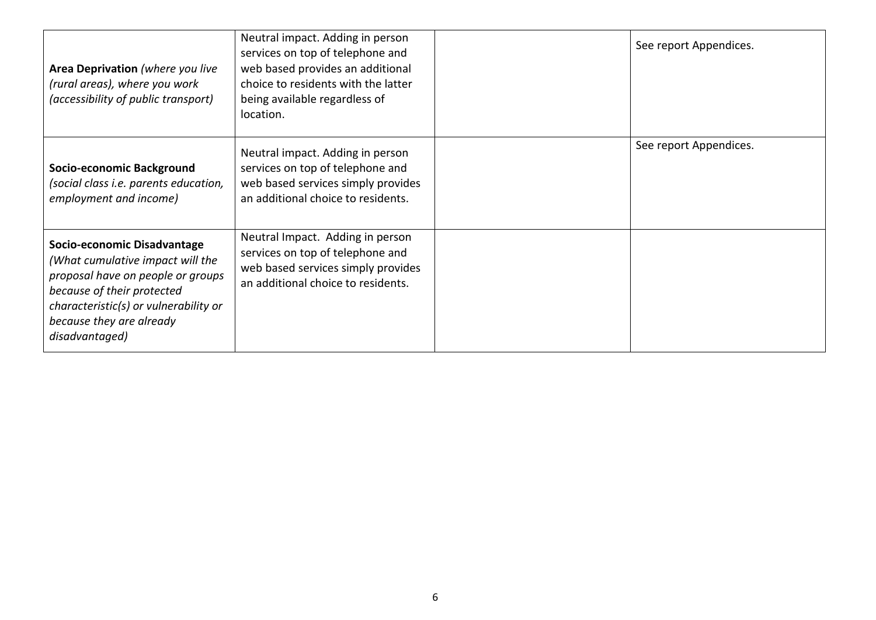| Area Deprivation (where you live<br>(rural areas), where you work<br>(accessibility of public transport)                                                                                                                  | Neutral impact. Adding in person<br>services on top of telephone and<br>web based provides an additional<br>choice to residents with the latter<br>being available regardless of<br>location. | See report Appendices. |
|---------------------------------------------------------------------------------------------------------------------------------------------------------------------------------------------------------------------------|-----------------------------------------------------------------------------------------------------------------------------------------------------------------------------------------------|------------------------|
| Socio-economic Background<br>(social class i.e. parents education,<br>employment and income)                                                                                                                              | Neutral impact. Adding in person<br>services on top of telephone and<br>web based services simply provides<br>an additional choice to residents.                                              | See report Appendices. |
| Socio-economic Disadvantage<br>(What cumulative impact will the<br>proposal have on people or groups<br>because of their protected<br>characteristic(s) or vulnerability or<br>because they are already<br>disadvantaged) | Neutral Impact. Adding in person<br>services on top of telephone and<br>web based services simply provides<br>an additional choice to residents.                                              |                        |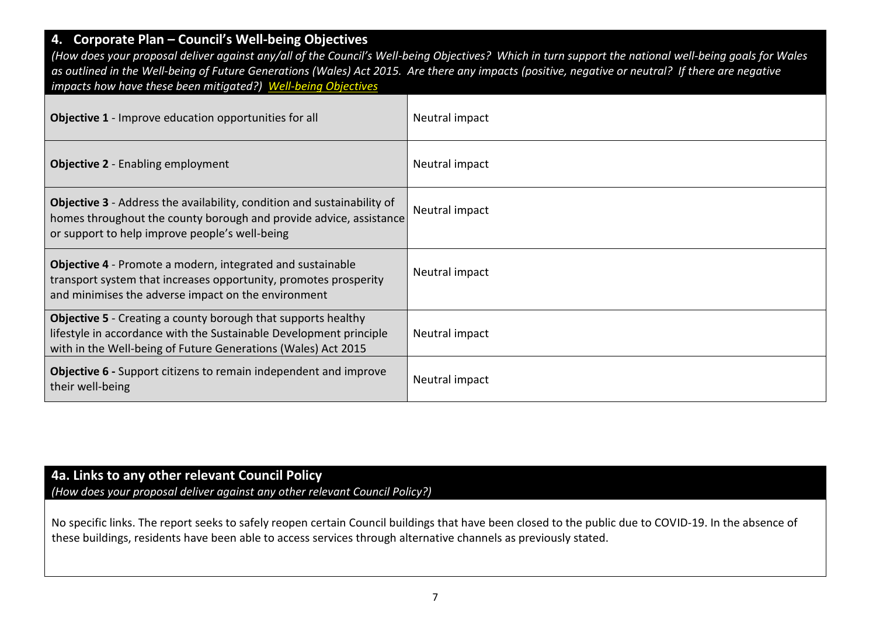### **4. Corporate Plan – Council's Well-being Objectives**

*(How does your proposal deliver against any/all of the Council's Well-being Objectives? Which in turn support the national well-being goals for Wales as outlined in the Well-being of Future Generations (Wales) Act 2015. Are there any impacts (positive, negative or neutral? If there are negative impacts how have these been mitigated?) [Well-being Objectives](https://www.caerphilly.gov.uk/CaerphillyDocs/Council-and-democracy/Corporate_Plan_2018-2023.aspx)*

| <b>Objective 1</b> - Improve education opportunities for all                                                                                                                                                | Neutral impact |
|-------------------------------------------------------------------------------------------------------------------------------------------------------------------------------------------------------------|----------------|
| <b>Objective 2</b> - Enabling employment                                                                                                                                                                    | Neutral impact |
| <b>Objective 3</b> - Address the availability, condition and sustainability of<br>homes throughout the county borough and provide advice, assistance<br>or support to help improve people's well-being      | Neutral impact |
| <b>Objective 4</b> - Promote a modern, integrated and sustainable<br>transport system that increases opportunity, promotes prosperity<br>and minimises the adverse impact on the environment                | Neutral impact |
| <b>Objective 5</b> - Creating a county borough that supports healthy<br>lifestyle in accordance with the Sustainable Development principle<br>with in the Well-being of Future Generations (Wales) Act 2015 | Neutral impact |
| <b>Objective 6</b> - Support citizens to remain independent and improve<br>their well-being                                                                                                                 | Neutral impact |

### **4a. Links to any other relevant Council Policy** *(How does your proposal deliver against any other relevant Council Policy?)*

No specific links. The report seeks to safely reopen certain Council buildings that have been closed to the public due to COVID-19. In the absence of these buildings, residents have been able to access services through alternative channels as previously stated.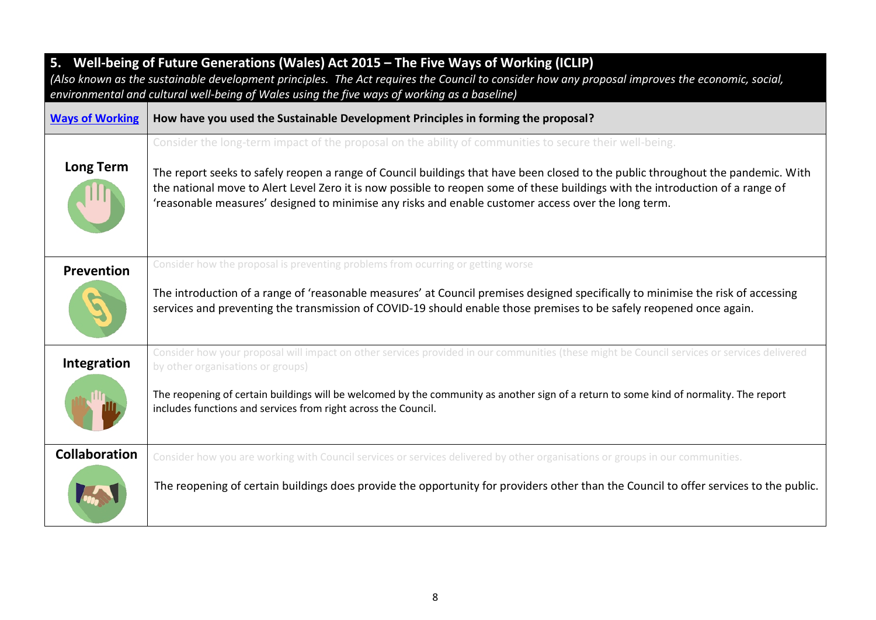| 5. Well-being of Future Generations (Wales) Act 2015 - The Five Ways of Working (ICLIP)<br>(Also known as the sustainable development principles. The Act requires the Council to consider how any proposal improves the economic, social,<br>environmental and cultural well-being of Wales using the five ways of working as a baseline) |                                                                                                                                                                                                                                                                                                                                                                                                                                                                                      |  |  |
|--------------------------------------------------------------------------------------------------------------------------------------------------------------------------------------------------------------------------------------------------------------------------------------------------------------------------------------------|--------------------------------------------------------------------------------------------------------------------------------------------------------------------------------------------------------------------------------------------------------------------------------------------------------------------------------------------------------------------------------------------------------------------------------------------------------------------------------------|--|--|
| <b>Ways of Working</b>                                                                                                                                                                                                                                                                                                                     | How have you used the Sustainable Development Principles in forming the proposal?                                                                                                                                                                                                                                                                                                                                                                                                    |  |  |
| <b>Long Term</b>                                                                                                                                                                                                                                                                                                                           | Consider the long-term impact of the proposal on the ability of communities to secure their well-being.<br>The report seeks to safely reopen a range of Council buildings that have been closed to the public throughout the pandemic. With<br>the national move to Alert Level Zero it is now possible to reopen some of these buildings with the introduction of a range of<br>'reasonable measures' designed to minimise any risks and enable customer access over the long term. |  |  |
| Prevention                                                                                                                                                                                                                                                                                                                                 | Consider how the proposal is preventing problems from ocurring or getting worse<br>The introduction of a range of 'reasonable measures' at Council premises designed specifically to minimise the risk of accessing<br>services and preventing the transmission of COVID-19 should enable those premises to be safely reopened once again.                                                                                                                                           |  |  |
| Integration                                                                                                                                                                                                                                                                                                                                | Consider how your proposal will impact on other services provided in our communities (these might be Council services or services delivered<br>by other organisations or groups)<br>The reopening of certain buildings will be welcomed by the community as another sign of a return to some kind of normality. The report<br>includes functions and services from right across the Council.                                                                                         |  |  |
| <b>Collaboration</b>                                                                                                                                                                                                                                                                                                                       | Consider how you are working with Council services or services delivered by other organisations or groups in our communities.<br>The reopening of certain buildings does provide the opportunity for providers other than the Council to offer services to the public.                                                                                                                                                                                                               |  |  |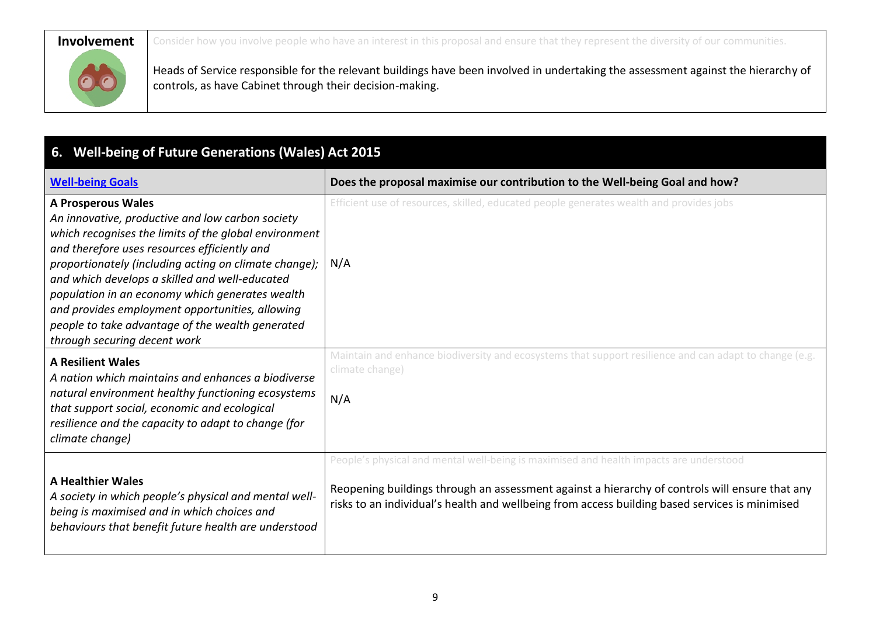**Involvement** Consider how you involve people who have an interest in this proposal and ensure that they represent the diversity of our communities.



Heads of Service responsible for the relevant buildings have been involved in undertaking the assessment against the hierarchy of controls, as have Cabinet through their decision-making.

# **6. Well-being of Future Generations (Wales) Act 2015**

| <b>Well-being Goals</b>                                                                                                                                                                                                                                                                                                                                                                                                                                                                     | Does the proposal maximise our contribution to the Well-being Goal and how?                                                                                                                                                                                                                |
|---------------------------------------------------------------------------------------------------------------------------------------------------------------------------------------------------------------------------------------------------------------------------------------------------------------------------------------------------------------------------------------------------------------------------------------------------------------------------------------------|--------------------------------------------------------------------------------------------------------------------------------------------------------------------------------------------------------------------------------------------------------------------------------------------|
| <b>A Prosperous Wales</b><br>An innovative, productive and low carbon society<br>which recognises the limits of the global environment<br>and therefore uses resources efficiently and<br>proportionately (including acting on climate change);<br>and which develops a skilled and well-educated<br>population in an economy which generates wealth<br>and provides employment opportunities, allowing<br>people to take advantage of the wealth generated<br>through securing decent work | Efficient use of resources, skilled, educated people generates wealth and provides jobs<br>N/A                                                                                                                                                                                             |
| <b>A Resilient Wales</b><br>A nation which maintains and enhances a biodiverse<br>natural environment healthy functioning ecosystems<br>that support social, economic and ecological<br>resilience and the capacity to adapt to change (for<br>climate change)                                                                                                                                                                                                                              | Maintain and enhance biodiversity and ecosystems that support resilience and can adapt to change (e.g.<br>climate change)<br>N/A                                                                                                                                                           |
| <b>A Healthier Wales</b><br>A society in which people's physical and mental well-<br>being is maximised and in which choices and<br>behaviours that benefit future health are understood                                                                                                                                                                                                                                                                                                    | People's physical and mental well-being is maximised and health impacts are understood<br>Reopening buildings through an assessment against a hierarchy of controls will ensure that any<br>risks to an individual's health and wellbeing from access building based services is minimised |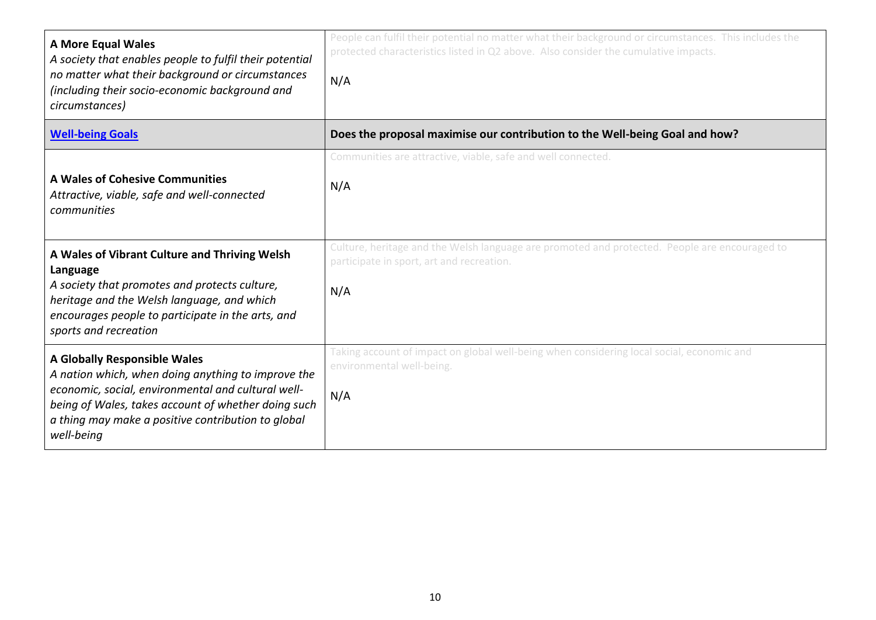| <b>A More Equal Wales</b><br>A society that enables people to fulfil their potential<br>no matter what their background or circumstances<br>(including their socio-economic background and<br>circumstances)                                                        | People can fulfil their potential no matter what their background or circumstances. This includes the<br>protected characteristics listed in Q2 above. Also consider the cumulative impacts.<br>N/A |
|---------------------------------------------------------------------------------------------------------------------------------------------------------------------------------------------------------------------------------------------------------------------|-----------------------------------------------------------------------------------------------------------------------------------------------------------------------------------------------------|
| <b>Well-being Goals</b>                                                                                                                                                                                                                                             | Does the proposal maximise our contribution to the Well-being Goal and how?                                                                                                                         |
| A Wales of Cohesive Communities<br>Attractive, viable, safe and well-connected<br>communities                                                                                                                                                                       | Communities are attractive, viable, safe and well connected.<br>N/A                                                                                                                                 |
| A Wales of Vibrant Culture and Thriving Welsh<br>Language<br>A society that promotes and protects culture,<br>heritage and the Welsh language, and which<br>encourages people to participate in the arts, and<br>sports and recreation                              | Culture, heritage and the Welsh language are promoted and protected. People are encouraged to<br>participate in sport, art and recreation.<br>N/A                                                   |
| A Globally Responsible Wales<br>A nation which, when doing anything to improve the<br>economic, social, environmental and cultural well-<br>being of Wales, takes account of whether doing such<br>a thing may make a positive contribution to global<br>well-being | Taking account of impact on global well-being when considering local social, economic and<br>environmental well-being.<br>N/A                                                                       |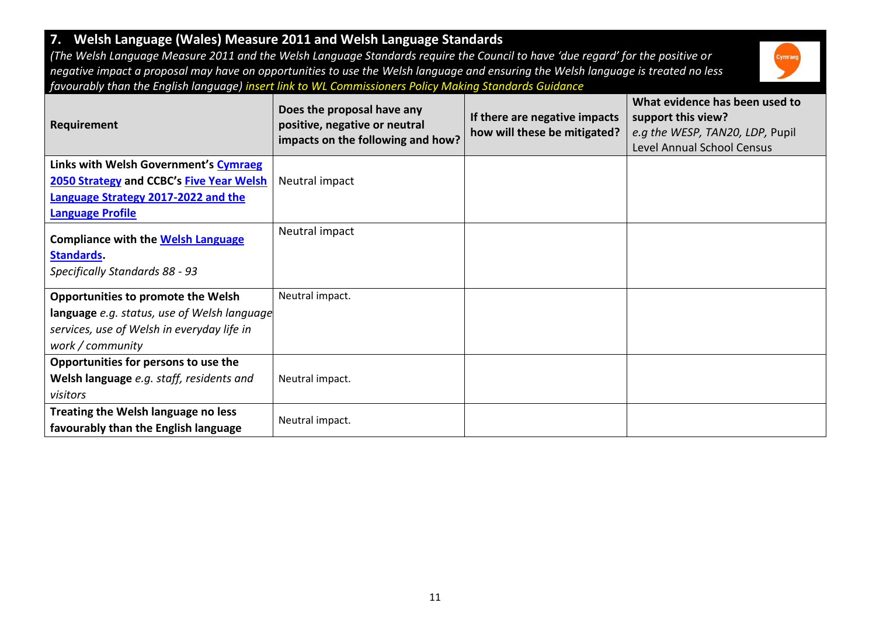# **7. Welsh Language (Wales) Measure 2011 and Welsh Language Standards**

*(The Welsh Language Measure 2011 and the Welsh Language Standards require the Council to have 'due regard' for the positive or negative impact a proposal may have on opportunities to use the Welsh language and ensuring the Welsh language is treated no less favourably than the English language) insert link to WL Commissioners Policy Making Standards Guidance*



| Requirement                                                    | Does the proposal have any<br>positive, negative or neutral<br>impacts on the following and how? | If there are negative impacts<br>how will these be mitigated? | What evidence has been used to<br>support this view?<br>e.g the WESP, TAN20, LDP, Pupil<br><b>Level Annual School Census</b> |
|----------------------------------------------------------------|--------------------------------------------------------------------------------------------------|---------------------------------------------------------------|------------------------------------------------------------------------------------------------------------------------------|
| Links with Welsh Government's Cymraeg                          |                                                                                                  |                                                               |                                                                                                                              |
| 2050 Strategy and CCBC's Five Year Welsh                       | Neutral impact                                                                                   |                                                               |                                                                                                                              |
| Language Strategy 2017-2022 and the                            |                                                                                                  |                                                               |                                                                                                                              |
| <b>Language Profile</b>                                        |                                                                                                  |                                                               |                                                                                                                              |
| <b>Compliance with the Welsh Language</b><br><b>Standards</b>  | Neutral impact                                                                                   |                                                               |                                                                                                                              |
| Specifically Standards 88 - 93                                 |                                                                                                  |                                                               |                                                                                                                              |
| <b>Opportunities to promote the Welsh</b>                      | Neutral impact.                                                                                  |                                                               |                                                                                                                              |
| language e.g. status, use of Welsh language                    |                                                                                                  |                                                               |                                                                                                                              |
| services, use of Welsh in everyday life in<br>work / community |                                                                                                  |                                                               |                                                                                                                              |
| Opportunities for persons to use the                           |                                                                                                  |                                                               |                                                                                                                              |
| Welsh language e.g. staff, residents and                       | Neutral impact.                                                                                  |                                                               |                                                                                                                              |
| visitors                                                       |                                                                                                  |                                                               |                                                                                                                              |
| Treating the Welsh language no less                            | Neutral impact.                                                                                  |                                                               |                                                                                                                              |
| favourably than the English language                           |                                                                                                  |                                                               |                                                                                                                              |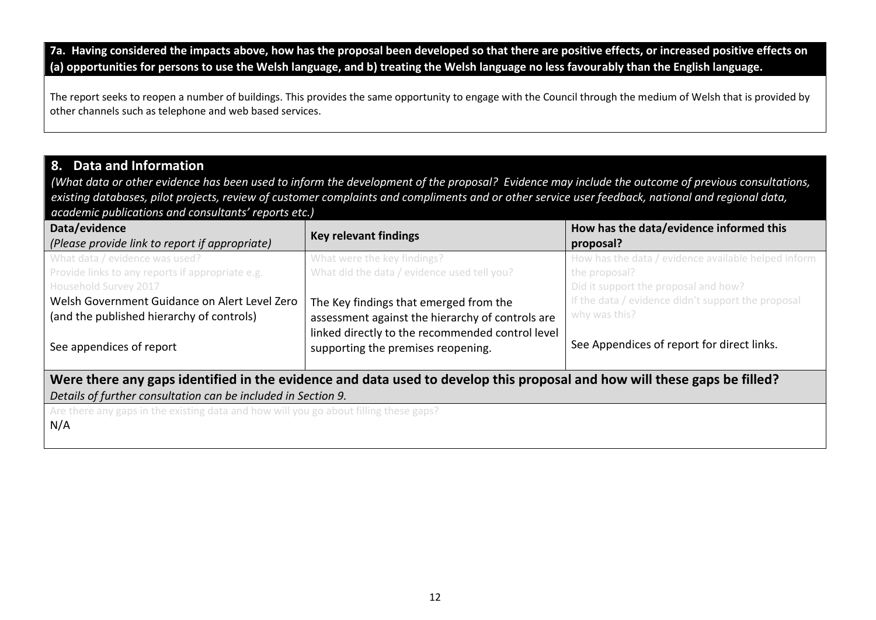**7a. Having considered the impacts above, how has the proposal been developed so that there are positive effects, or increased positive effects on (a) opportunities for persons to use the Welsh language, and b) treating the Welsh language no less favourably than the English language.**

The report seeks to reopen a number of buildings. This provides the same opportunity to engage with the Council through the medium of Welsh that is provided by other channels such as telephone and web based services.

### **8. Data and Information**

*(What data or other evidence has been used to inform the development of the proposal? Evidence may include the outcome of previous consultations, existing databases, pilot projects, review of customer complaints and compliments and or other service user feedback, national and regional data, academic publications and consultants' reports etc.)*

| Data/evidence<br>(Please provide link to report if appropriate)                                                          | <b>Key relevant findings</b>                                                           | How has the data/evidence informed this<br>proposal?  |  |  |
|--------------------------------------------------------------------------------------------------------------------------|----------------------------------------------------------------------------------------|-------------------------------------------------------|--|--|
| What data / evidence was used?                                                                                           | What were the key findings?                                                            | How has the data / evidence available helped inform   |  |  |
| Provide links to any reports if appropriate e.g.<br>Household Survey 2017                                                | What did the data / evidence used tell you?                                            | the proposal?<br>Did it support the proposal and how? |  |  |
| Welsh Government Guidance on Alert Level Zero                                                                            | The Key findings that emerged from the                                                 | If the data / evidence didn't support the proposal    |  |  |
| (and the published hierarchy of controls)                                                                                | assessment against the hierarchy of controls are                                       | why was this?                                         |  |  |
| See appendices of report                                                                                                 | linked directly to the recommended control level<br>supporting the premises reopening. | See Appendices of report for direct links.            |  |  |
| Were there any gaps identified in the evidence and data used to develop this proposal and how will these gaps be filled? |                                                                                        |                                                       |  |  |
| Details of further consultation can be included in Section 9.                                                            |                                                                                        |                                                       |  |  |
| Are there any gaps in the existing data and how will you go about filling these gaps?                                    |                                                                                        |                                                       |  |  |
| $\mid N/A$                                                                                                               |                                                                                        |                                                       |  |  |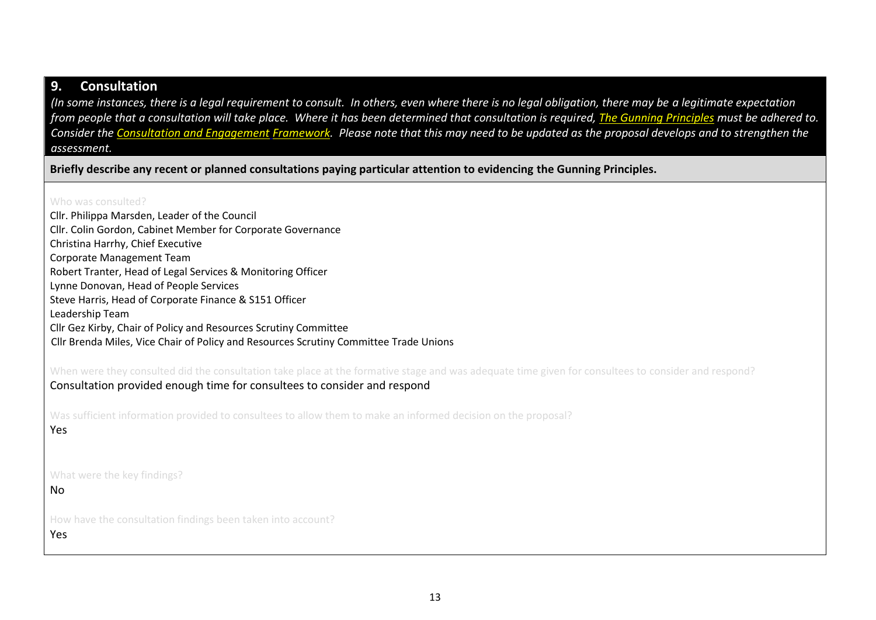#### **9. Consultation**

*(In some instances, there is a legal requirement to consult. In others, even where there is no legal obligation, there may be a legitimate expectation from people that a consultation will take place. Where it has been determined that consultation is required, [The Gunning Principles](https://www.consultationinstitute.org/the-gunning-principles-implications/) must be adhered to. Consider the [Consultation and Engagement](https://www.caerphilly.gov.uk/CaerphillyDocs/Consultations/Consultation-and-Engagement-Framework.aspx) Framework. Please note that this may need to be updated as the proposal develops and to strengthen the assessment.*

**Briefly describe any recent or planned consultations paying particular attention to evidencing the Gunning Principles.**

Who was consulted?

| Cllr. Philippa Marsden, Leader of the Council                                                                                                                                                                                   |
|---------------------------------------------------------------------------------------------------------------------------------------------------------------------------------------------------------------------------------|
| Cllr. Colin Gordon, Cabinet Member for Corporate Governance                                                                                                                                                                     |
| Christina Harrhy, Chief Executive                                                                                                                                                                                               |
| <b>Corporate Management Team</b>                                                                                                                                                                                                |
| Robert Tranter, Head of Legal Services & Monitoring Officer                                                                                                                                                                     |
| Lynne Donovan, Head of People Services                                                                                                                                                                                          |
| Steve Harris, Head of Corporate Finance & S151 Officer                                                                                                                                                                          |
| Leadership Team                                                                                                                                                                                                                 |
| Cllr Gez Kirby, Chair of Policy and Resources Scrutiny Committee                                                                                                                                                                |
| Cllr Brenda Miles, Vice Chair of Policy and Resources Scrutiny Committee Trade Unions                                                                                                                                           |
| When were they consulted did the consultation take place at the formative stage and was adequate time given for consultees to consider and respond?<br>Consultation provided enough time for consultees to consider and respond |
| Was sufficient information provided to consultees to allow them to make an informed decision on the proposal?<br>Yes                                                                                                            |
| What were the key findings?<br>No                                                                                                                                                                                               |
| How have the consultation findings been taken into account?<br>Yes                                                                                                                                                              |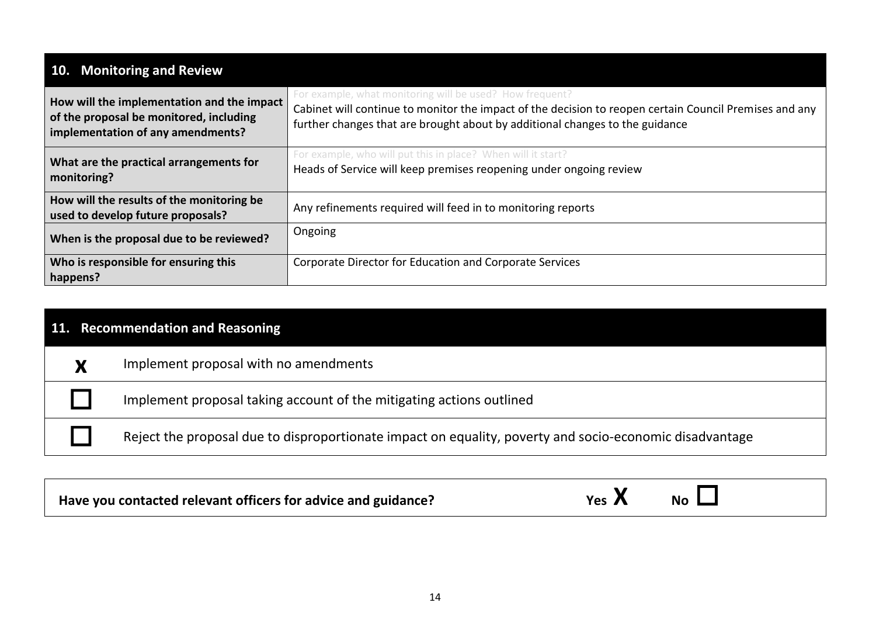| 10. Monitoring and Review                                                                                                  |                                                                                                                                                                                                                                                    |
|----------------------------------------------------------------------------------------------------------------------------|----------------------------------------------------------------------------------------------------------------------------------------------------------------------------------------------------------------------------------------------------|
| How will the implementation and the impact<br>of the proposal be monitored, including<br>implementation of any amendments? | For example, what monitoring will be used? How frequent?<br>Cabinet will continue to monitor the impact of the decision to reopen certain Council Premises and any<br>further changes that are brought about by additional changes to the guidance |
| What are the practical arrangements for<br>monitoring?                                                                     | For example, who will put this in place? When will it start?<br>Heads of Service will keep premises reopening under ongoing review                                                                                                                 |
| How will the results of the monitoring be<br>used to develop future proposals?                                             | Any refinements required will feed in to monitoring reports                                                                                                                                                                                        |
| When is the proposal due to be reviewed?                                                                                   | Ongoing                                                                                                                                                                                                                                            |
| Who is responsible for ensuring this<br>happens?                                                                           | Corporate Director for Education and Corporate Services                                                                                                                                                                                            |

| 11. Recommendation and Reasoning |   |                                                                                                         |  |
|----------------------------------|---|---------------------------------------------------------------------------------------------------------|--|
|                                  | V | Implement proposal with no amendments                                                                   |  |
|                                  |   | Implement proposal taking account of the mitigating actions outlined                                    |  |
|                                  |   | Reject the proposal due to disproportionate impact on equality, poverty and socio-economic disadvantage |  |
|                                  |   |                                                                                                         |  |